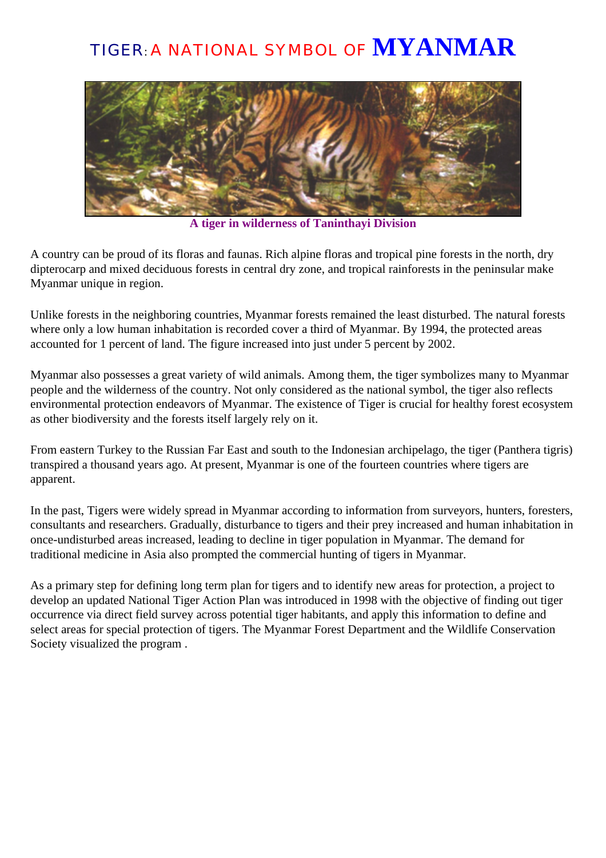## TIGER: A NATIONAL SYMBOL OF **MYANMAR**



**A tiger in wilderness of Taninthayi Division**

A country can be proud of its floras and faunas. Rich alpine floras and tropical pine forests in the north, dry dipterocarp and mixed deciduous forests in central dry zone, and tropical rainforests in the peninsular make Myanmar unique in region.

Unlike forests in the neighboring countries, Myanmar forests remained the least disturbed. The natural forests where only a low human inhabitation is recorded cover a third of Myanmar. By 1994, the protected areas accounted for 1 percent of land. The figure increased into just under 5 percent by 2002.

Myanmar also possesses a great variety of wild animals. Among them, the tiger symbolizes many to Myanmar people and the wilderness of the country. Not only considered as the national symbol, the tiger also reflects environmental protection endeavors of Myanmar. The existence of Tiger is crucial for healthy forest ecosystem as other biodiversity and the forests itself largely rely on it.

From eastern Turkey to the Russian Far East and south to the Indonesian archipelago, the tiger (Panthera tigris) transpired a thousand years ago. At present, Myanmar is one of the fourteen countries where tigers are apparent.

In the past, Tigers were widely spread in Myanmar according to information from surveyors, hunters, foresters, consultants and researchers. Gradually, disturbance to tigers and their prey increased and human inhabitation in once-undisturbed areas increased, leading to decline in tiger population in Myanmar. The demand for traditional medicine in Asia also prompted the commercial hunting of tigers in Myanmar.

As a primary step for defining long term plan for tigers and to identify new areas for protection, a project to develop an updated National Tiger Action Plan was introduced in 1998 with the objective of finding out tiger occurrence via direct field survey across potential tiger habitants, and apply this information to define and select areas for special protection of tigers. The Myanmar Forest Department and the Wildlife Conservation Society visualized the program .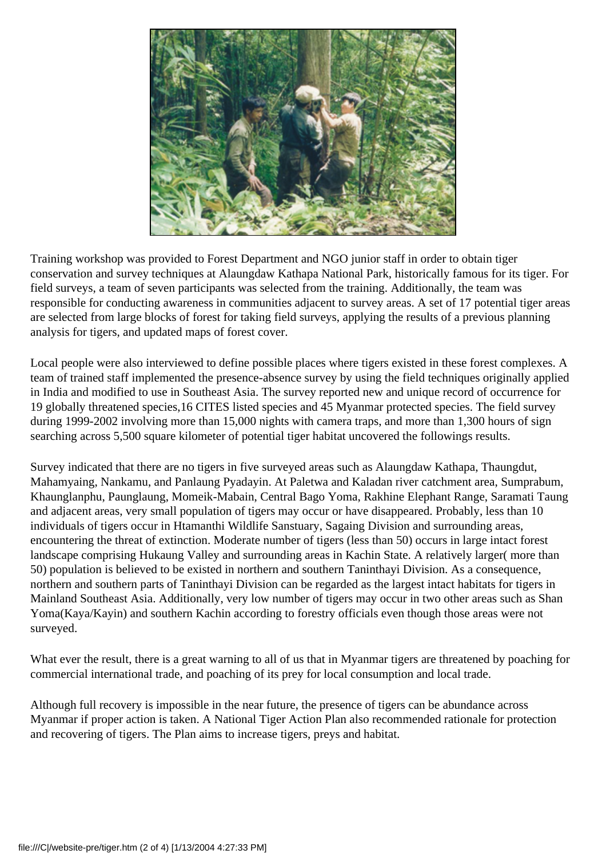

Training workshop was provided to Forest Department and NGO junior staff in order to obtain tiger conservation and survey techniques at Alaungdaw Kathapa National Park, historically famous for its tiger. For field surveys, a team of seven participants was selected from the training. Additionally, the team was responsible for conducting awareness in communities adjacent to survey areas. A set of 17 potential tiger areas are selected from large blocks of forest for taking field surveys, applying the results of a previous planning analysis for tigers, and updated maps of forest cover.

Local people were also interviewed to define possible places where tigers existed in these forest complexes. A team of trained staff implemented the presence-absence survey by using the field techniques originally applied in India and modified to use in Southeast Asia. The survey reported new and unique record of occurrence for 19 globally threatened species,16 CITES listed species and 45 Myanmar protected species. The field survey during 1999-2002 involving more than 15,000 nights with camera traps, and more than 1,300 hours of sign searching across 5,500 square kilometer of potential tiger habitat uncovered the followings results.

Survey indicated that there are no tigers in five surveyed areas such as Alaungdaw Kathapa, Thaungdut, Mahamyaing, Nankamu, and Panlaung Pyadayin. At Paletwa and Kaladan river catchment area, Sumprabum, Khaunglanphu, Paunglaung, Momeik-Mabain, Central Bago Yoma, Rakhine Elephant Range, Saramati Taung and adjacent areas, very small population of tigers may occur or have disappeared. Probably, less than 10 individuals of tigers occur in Htamanthi Wildlife Sanstuary, Sagaing Division and surrounding areas, encountering the threat of extinction. Moderate number of tigers (less than 50) occurs in large intact forest landscape comprising Hukaung Valley and surrounding areas in Kachin State. A relatively larger( more than 50) population is believed to be existed in northern and southern Taninthayi Division. As a consequence, northern and southern parts of Taninthayi Division can be regarded as the largest intact habitats for tigers in Mainland Southeast Asia. Additionally, very low number of tigers may occur in two other areas such as Shan Yoma(Kaya/Kayin) and southern Kachin according to forestry officials even though those areas were not surveyed.

What ever the result, there is a great warning to all of us that in Myanmar tigers are threatened by poaching for commercial international trade, and poaching of its prey for local consumption and local trade.

Although full recovery is impossible in the near future, the presence of tigers can be abundance across Myanmar if proper action is taken. A National Tiger Action Plan also recommended rationale for protection and recovering of tigers. The Plan aims to increase tigers, preys and habitat.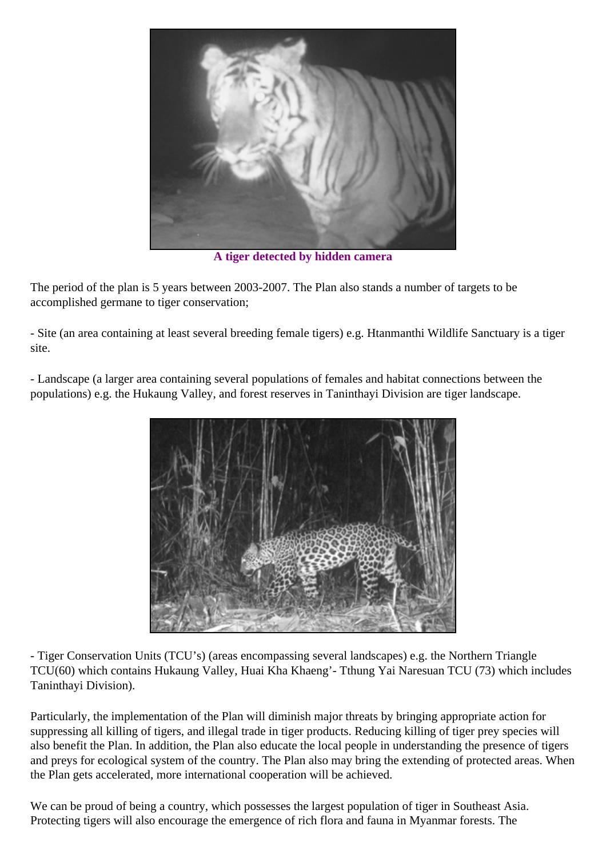

**A tiger detected by hidden camera**

The period of the plan is 5 years between 2003-2007. The Plan also stands a number of targets to be accomplished germane to tiger conservation;

- Site (an area containing at least several breeding female tigers) e.g. Htanmanthi Wildlife Sanctuary is a tiger site.

- Landscape (a larger area containing several populations of females and habitat connections between the populations) e.g. the Hukaung Valley, and forest reserves in Taninthayi Division are tiger landscape.



- Tiger Conservation Units (TCU's) (areas encompassing several landscapes) e.g. the Northern Triangle TCU(60) which contains Hukaung Valley, Huai Kha Khaeng'- Tthung Yai Naresuan TCU (73) which includes Taninthayi Division).

Particularly, the implementation of the Plan will diminish major threats by bringing appropriate action for suppressing all killing of tigers, and illegal trade in tiger products. Reducing killing of tiger prey species will also benefit the Plan. In addition, the Plan also educate the local people in understanding the presence of tigers and preys for ecological system of the country. The Plan also may bring the extending of protected areas. When the Plan gets accelerated, more international cooperation will be achieved.

We can be proud of being a country, which possesses the largest population of tiger in Southeast Asia. Protecting tigers will also encourage the emergence of rich flora and fauna in Myanmar forests. The